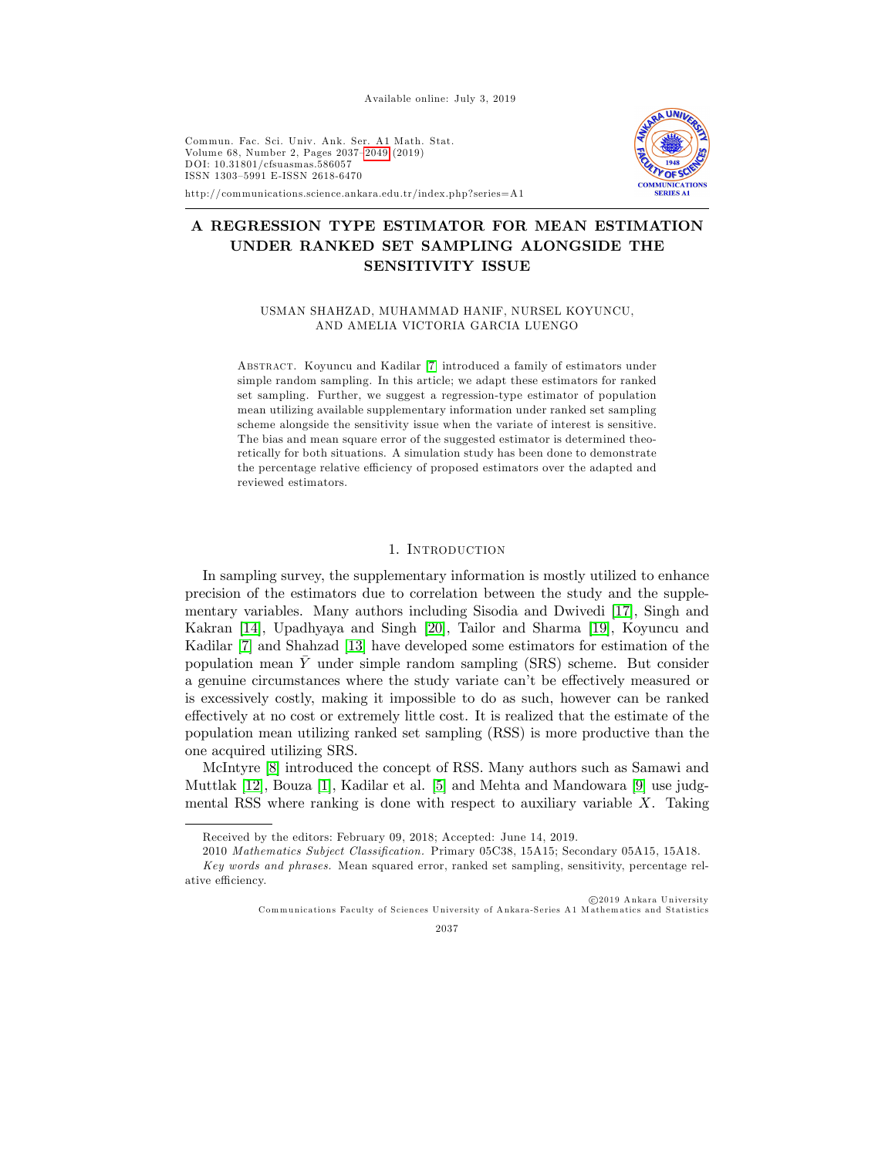Available online: July 3, 2019

Commun. Fac. Sci. Univ. Ank. Ser. A1 Math. Stat. Volume 68, Number 2, Pages 2037-2049 (2019) DO I: 10.31801/cfsuasmas.586057 ISSN 1303-5991 E-ISSN 2618-6470



http://communications.science.ankara.edu.tr/index.php?series=A1

# A REGRESSION TYPE ESTIMATOR FOR MEAN ESTIMATION UNDER RANKED SET SAMPLING ALONGSIDE THE SENSITIVITY ISSUE

USMAN SHAHZAD, MUHAMMAD HANIF, NURSEL KOYUNCU, AND AMELIA VICTORIA GARCIA LUENGO

Abstract. Koyuncu and Kadilar [\[7\]](#page-11-1) introduced a family of estimators under simple random sampling. In this article; we adapt these estimators for ranked set sampling. Further, we suggest a regression-type estimator of population mean utilizing available supplementary information under ranked set sampling scheme alongside the sensitivity issue when the variate of interest is sensitive. The bias and mean square error of the suggested estimator is determined theoretically for both situations. A simulation study has been done to demonstrate the percentage relative efficiency of proposed estimators over the adapted and reviewed estimators.

#### 1. INTRODUCTION

In sampling survey, the supplementary information is mostly utilized to enhance precision of the estimators due to correlation between the study and the supplementary variables. Many authors including Sisodia and Dwivedi [\[17\]](#page-11-2), Singh and Kakran [\[14\]](#page-11-3), Upadhyaya and Singh [\[20\]](#page-12-0), Tailor and Sharma [\[19\]](#page-11-4), Koyuncu and Kadilar [\[7\]](#page-11-1) and Shahzad [\[13\]](#page-11-5) have developed some estimators for estimation of the population mean Y under simple random sampling (SRS) scheme. But consider a genuine circumstances where the study variate can't be effectively measured or is excessively costly, making it impossible to do as such, however can be ranked effectively at no cost or extremely little cost. It is realized that the estimate of the population mean utilizing ranked set sampling (RSS) is more productive than the one acquired utilizing SRS.

McIntyre [\[8\]](#page-11-6) introduced the concept of RSS. Many authors such as Samawi and Muttlak [\[12\]](#page-11-7), Bouza [\[1\]](#page-11-0), Kadilar et al. [\[5\]](#page-11-8) and Mehta and Mandowara [\[9\]](#page-11-9) use judgmental RSS where ranking is done with respect to auxiliary variable  $X$ . Taking

 $c$  2019 Ankara University Communications Faculty of Sciences University of Ankara-Series A1 Mathematics and Statistics



Received by the editors: February 09, 2018; Accepted: June 14, 2019.

<sup>2010</sup> Mathematics Subject Classification. Primary 05C38, 15A15; Secondary 05A15, 15A18. Key words and phrases. Mean squared error, ranked set sampling, sensitivity, percentage relative efficiency.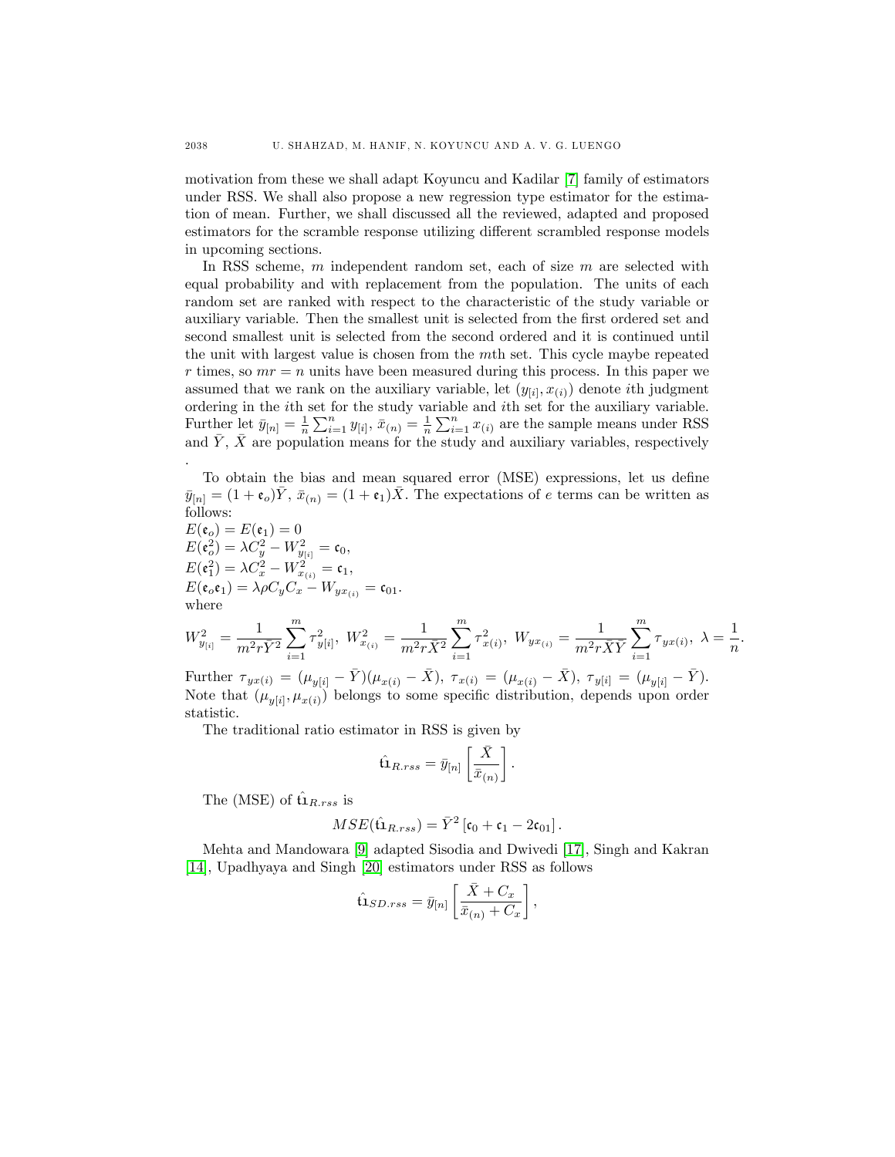motivation from these we shall adapt Koyuncu and Kadilar [\[7\]](#page-11-1) family of estimators under RSS. We shall also propose a new regression type estimator for the estimation of mean. Further, we shall discussed all the reviewed, adapted and proposed estimators for the scramble response utilizing different scrambled response models in upcoming sections.

In RSS scheme, m independent random set, each of size m are selected with equal probability and with replacement from the population. The units of each random set are ranked with respect to the characteristic of the study variable or auxiliary variable. Then the smallest unit is selected from the first ordered set and second smallest unit is selected from the second ordered and it is continued until the unit with largest value is chosen from the mth set. This cycle maybe repeated r times, so  $mr = n$  units have been measured during this process. In this paper we assumed that we rank on the auxiliary variable, let  $(y_{[i]}, x_{(i)})$  denote *i*th judgment ordering in the ith set for the study variable and ith set for the auxiliary variable. Further let  $\bar{y}_{[n]} = \frac{1}{n} \sum_{i=1}^{n} y_{[i]}, \bar{x}_{(n)} = \frac{1}{n} \sum_{i=1}^{n} x_{(i)}$  are the sample means under RSS and  $\bar{Y}, \bar{X}$  are population means for the study and auxiliary variables, respectively .

To obtain the bias and mean squared error (MSE) expressions, let us define  $\bar{y}_{[n]} = (1 + \epsilon_o)Y, \, \bar{x}_{(n)} = (1 + \epsilon_1)X.$  The expectations of e terms can be written as follows:

$$
E(\mathbf{e}_o) = E(\mathbf{e}_1) = 0
$$
  
\n
$$
E(\mathbf{e}_o^2) = \lambda C_y^2 - W_{y_{[i]}}^2 = \mathbf{c}_0,
$$
  
\n
$$
E(\mathbf{e}_i^2) = \lambda C_x^2 - W_{x_{(i)}}^2 = \mathbf{c}_1,
$$
  
\n
$$
E(\mathbf{e}_o \mathbf{e}_1) = \lambda \rho C_y C_x - W_{yx_{(i)}} = \mathbf{c}_{01}.
$$
  
\nwhere  
\n
$$
W_{y_{[i]}}^2 = \frac{1}{m^2 r \overline{Y}^2} \sum_{i=1}^m \tau_{y_{[i]}^2}^2, W_{x_{(i)}}^2 = \frac{1}{m^2 r \overline{X}^2} \sum_{i=1}^m \tau_{x(i)}^2, W_{yx_{(i)}} = \frac{1}{m^2 r \overline{X} \overline{Y}} \sum_{i=1}^m \tau_{yx(i)}, \lambda = \frac{1}{n}
$$

Further  $\tau_{yx(i)} = (\mu_{y[i]} - \bar{Y})(\mu_{x(i)} - \bar{X}), \tau_{x(i)} = (\mu_{x(i)} - \bar{X}), \tau_{y[i]} = (\mu_{y[i]} - \bar{Y}).$ Note that  $(\mu_{y[i]}, \mu_{x(i)})$  belongs to some specific distribution, depends upon order statistic.

 $i=1$ 

 $i=1$ 

 $\frac{1}{n}$ .

The traditional ratio estimator in RSS is given by

$$
\hat{\bf t1}_{R,rss} = \bar y_{[n]} \left[ \frac{\bar X}{\bar x_{(n)}} \right].
$$

The (MSE) of  $\hat{\mathbf{u}}_{R,rss}$  is

 $i=1$ 

$$
MSE(\hat{\mathbf{u}}_{R,rss}) = \bar{Y}^2 [\mathbf{c}_0 + \mathbf{c}_1 - 2\mathbf{c}_{01}].
$$

Mehta and Mandowara [\[9\]](#page-11-9) adapted Sisodia and Dwivedi [\[17\]](#page-11-2), Singh and Kakran [\[14\]](#page-11-3), Upadhyaya and Singh [\[20\]](#page-12-0) estimators under RSS as follows

$$
\hat{\mathbf{u}}_{SD,rss} = \bar{y}_{[n]} \left[ \frac{\bar{X} + C_x}{\bar{x}_{(n)} + C_x} \right],
$$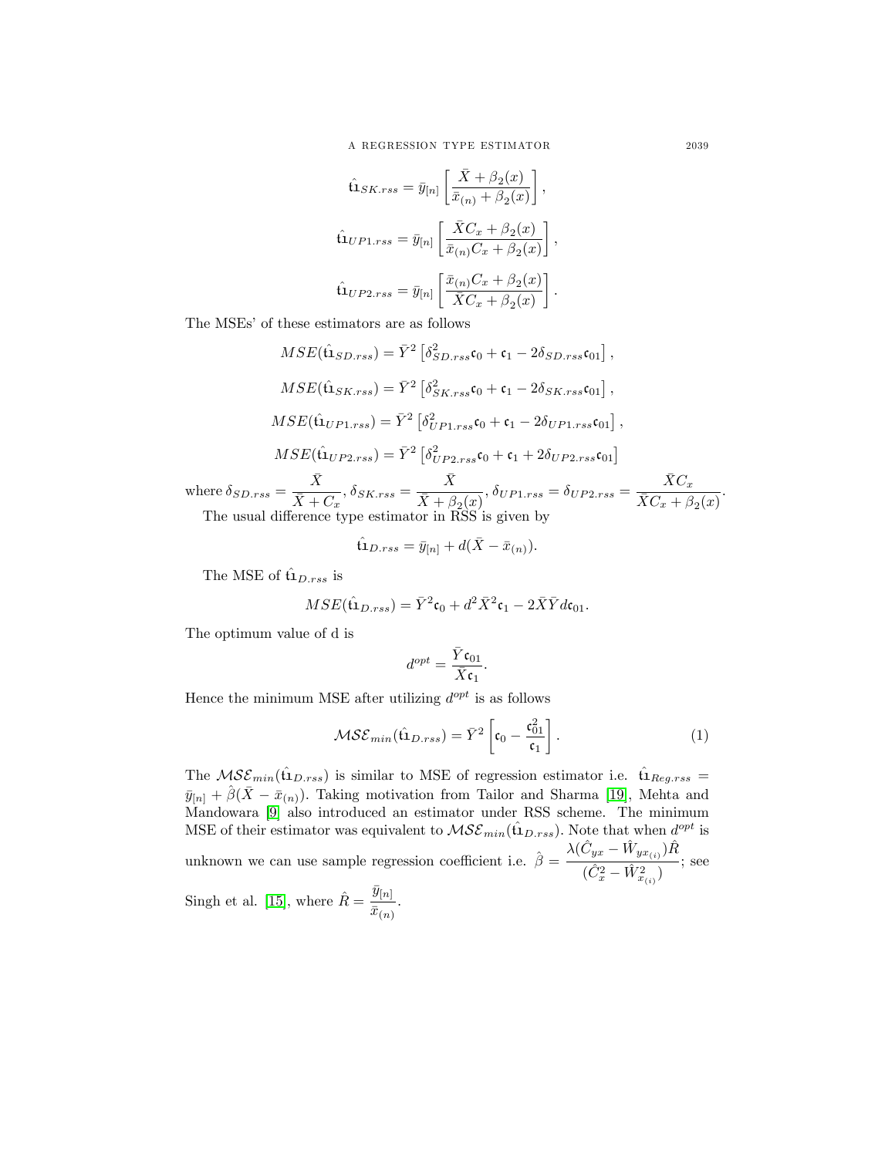$$
\hat{\mathbf{u}}_{SK,rss} = \bar{y}_{[n]} \left[ \frac{\bar{X} + \beta_2(x)}{\bar{x}_{(n)} + \beta_2(x)} \right],
$$
\n
$$
\hat{\mathbf{u}}_{UP1,rss} = \bar{y}_{[n]} \left[ \frac{\bar{X}C_x + \beta_2(x)}{\bar{x}_{(n)}C_x + \beta_2(x)} \right],
$$
\n
$$
\hat{\mathbf{u}}_{UP2,rss} = \bar{y}_{[n]} \left[ \frac{\bar{x}_{(n)}C_x + \beta_2(x)}{\bar{X}C_x + \beta_2(x)} \right].
$$

The MSEs' of these estimators are as follows

$$
MSE(\hat{\mathbf{u}}_{SD,rss}) = \bar{Y}^2 \left[ \delta_{SD,rss}^2 \mathbf{c}_0 + \mathbf{c}_1 - 2\delta_{SD,rss} \mathbf{c}_{01} \right],
$$
  
\n
$$
MSE(\hat{\mathbf{u}}_{SK,rss}) = \bar{Y}^2 \left[ \delta_{SK,rss}^2 \mathbf{c}_0 + \mathbf{c}_1 - 2\delta_{SK,rss} \mathbf{c}_{01} \right],
$$
  
\n
$$
MSE(\hat{\mathbf{u}}_{UP1,rss}) = \bar{Y}^2 \left[ \delta_{UP1,rss}^2 \mathbf{c}_0 + \mathbf{c}_1 - 2\delta_{UP1,rss} \mathbf{c}_{01} \right],
$$
  
\n
$$
MSE(\hat{\mathbf{u}}_{UP2,rss}) = \bar{Y}^2 \left[ \delta_{UP2,rss}^2 \mathbf{c}_0 + \mathbf{c}_1 + 2\delta_{UP2,rss} \mathbf{c}_{01} \right]
$$
  
\n
$$
\bar{X}
$$
  
\n
$$
\bar{X}
$$

where  $\delta_{SD,rss} = \frac{\bar{X}}{\bar{Y}}$  $\frac{\bar{X}}{\bar{X}+C_x},\, \delta_{SK.rss}=\frac{\bar{X}}{\bar{X}+\beta}$  $\frac{\bar{X}}{\bar{X}+\beta_2(x)}, \delta_{UP1,rss}=\delta_{UP2,rss}=\frac{\bar{X}C_x}{\bar{X}C_x+\beta_2(x)}.$ The usual difference type estimator in  $\tilde{RSS}$  is given by

$$
\hat{\mathbf{u}}_{D,rss} = \bar{y}_{[n]} + d(\bar{X} - \bar{x}_{(n)}).
$$

The MSE of  $\hat{\mathbf{u}}_{D,rss}$  is

$$
MSE(\hat{\mathbf{u}}_{D,rss}) = \bar{Y}^2 \mathbf{c}_0 + d^2 \bar{X}^2 \mathbf{c}_1 - 2 \bar{X} \bar{Y} d\mathbf{c}_{01}.
$$

The optimum value of d is

$$
d^{opt} = \frac{\bar{Y} \mathfrak{c}_{01}}{\bar{X} \mathfrak{c}_1}.
$$

Hence the minimum MSE after utilizing  $d^{opt}$  is as follows

$$
\mathcal{MSE}_{min}(\hat{\mathbf{u}}_{D,rss}) = \bar{Y}^2 \left[ \mathbf{c}_0 - \frac{\mathbf{c}_{01}^2}{\mathbf{c}_1} \right]. \tag{1}
$$

The  $MSE_{min}(\hat{\mathbf{t}}_{D,rss})$  is similar to MSE of regression estimator i.e.  $\hat{\mathbf{t}}_{Reg,rss} =$  $\bar{y}_{[n]} + \hat{\beta}(\bar{X} - \bar{x}_{(n)})$ . Taking motivation from Tailor and Sharma [\[19\]](#page-11-4), Mehta and Mandowara [\[9\]](#page-11-9) also introduced an estimator under RSS scheme. The minimum MSE of their estimator was equivalent to  $MSE_{min}(\hat{\mathbf{u}}_{D,rss})$ . Note that when  $d^{opt}$  is unknown we can use sample regression coefficient i.e.  $\hat{\beta} = \frac{\lambda (\hat{C}_{yx} - \hat{W}_{yx(i)})\hat{R}}{(\hat{C}_{yx} - \hat{W}_{yx(i)})}$  $(\hat{C}^2_x - \hat{W}^2_{x_{(i)}})$ ; see

Singh et al. [\[15\]](#page-11-10), where  $\hat{R} = \frac{\bar{y}_{[n]}}{\bar{z}_{n}}$  $rac{\overline{\overline{x}}_{{n_1}}}{\overline{\overline{x}}_{{n_2}}}$ .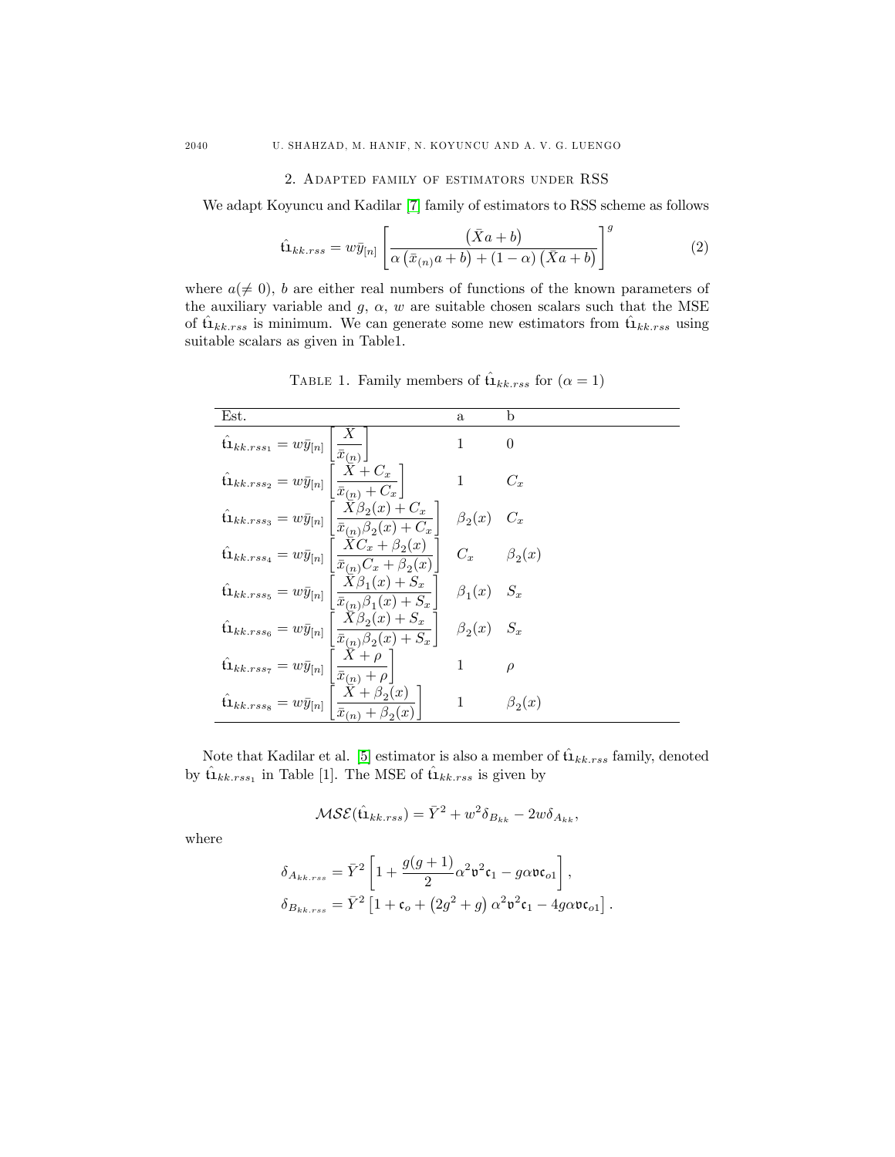### 2. Adapted family of estimators under RSS

We adapt Koyuncu and Kadilar [\[7\]](#page-11-1) family of estimators to RSS scheme as follows

$$
\hat{\mathbf{u}}_{kk,rss} = w\bar{y}_{[n]} \left[ \frac{(\bar{X}a+b)}{\alpha(\bar{x}_{(n)}a+b) + (1-\alpha)(\bar{X}a+b)} \right]^g
$$
(2)

where  $a(\neq 0)$ , b are either real numbers of functions of the known parameters of the auxiliary variable and  $g, \alpha, w$  are suitable chosen scalars such that the MSE of  $\hat{u}_{kk,rss}$  is minimum. We can generate some new estimators from  $\hat{u}_{kk,rss}$  using suitable scalars as given in Table1.

| Est.                                                                                                                                                                                     | $\mathbf{a}$       | b                  |
|------------------------------------------------------------------------------------------------------------------------------------------------------------------------------------------|--------------------|--------------------|
| $\hat{\mathbf{u}}_{kk,rss_1} = w\bar{y}_{[n]}$                                                                                                                                           | 1                  | 0                  |
| $\hat{\mathbf{u}}_{kk,rss_2}=w\bar{y}_{[n]}\left[\frac{\bar{X}+C_x}{\bar{x}_{(n)}+C_x}\right]$                                                                                           | $\mathbf{1}$       | $C_x$              |
| $\hat{\mathbf{u}}_{kk,rss_3} = w\bar{y}_{[n]}\left[\frac{\bar{X}\beta_2(x)+C_x}{\bar{x}_{(n)}\beta_2(x)+C_x}\right]$                                                                     | $\beta_2(x)$       | $C_x$              |
| $\left[\frac{\bar{X}C_x + \beta_2(x)}{\bar{x}_{(n)}C_x + \beta_2(x)}\right]$<br>$\hat{\mathbf{u}}_{kk,rss_4} = w\bar{y}_{[n]}$                                                           |                    | $C_x$ $\beta_2(x)$ |
| $\hat{\mathbf{u}}_{kk,rss_5} = w\bar{y}_{[n]}\left\lvert \frac{X\beta_1(x)+S_x}{\bar{x}_{\cdot\cdot\cdot}\beta_{\cdot}(x)+\mathbf{C}} \right\rvert$<br>$\frac{1}{x_{(n)}\beta_1(x)+S_x}$ | $\beta_1(x)$ $S_x$ |                    |
| $\hat{\mathbf{u}}_{kk,rss_6} = w\bar{y}_{[n]}\left[\frac{\bar{X}\beta_2(x)+S_x}{\bar{x}_{(n)}\beta_2(x)+S_x}\right]$                                                                     | $\beta_2(x)$       | $S_x$              |
| $\left\lfloor \frac{X+\rho}{\bar{x}_{(n)}+\rho} \right\rfloor$<br>$\hat{\mathbf{u}}_{kk,rss_7}=w\bar{y}_{[n]}$                                                                           | $\mathbf{1}$       | $\rho$             |
| $\frac{X+\beta_2(x)}{\bar{x}_{(n)}+\beta_2(x)}$<br>$\hat{\mathbf{t}}\mathbf{1}_{kk,rss_8} = w\bar{y}_{[n]}$                                                                              | $\mathbf{1}$       | $\beta_2(x)$       |

TABLE 1. Family members of  $\hat{u}_{kk,rss}$  for  $(\alpha = 1)$ 

Note that Kadilar et al. [\[5\]](#page-11-8) estimator is also a member of  $\hat{\mathbf{u}}_{kk,rss}$  family, denoted by  $\hat{\mathbf{u}}_{kk,rss_1}$  in Table [1]. The MSE of  $\hat{\mathbf{u}}_{kk,rss}$  is given by

$$
MSE(\hat{\mathbf{u}}_{kk,rss}) = \bar{Y}^2 + w^2 \delta_{B_{kk}} - 2w \delta_{A_{kk}},
$$

where

$$
\begin{split} \delta_{A_{kk,rss}} &= \bar{Y}^2 \left[ 1 + \frac{g(g+1)}{2} \alpha^2 \mathfrak{v}^2 \mathfrak{c}_1 - g \alpha \mathfrak{v} \mathfrak{c}_{o1} \right], \\ \delta_{B_{kk,rss}} &= \bar{Y}^2 \left[ 1 + \mathfrak{c}_o + \left( 2g^2 + g \right) \alpha^2 \mathfrak{v}^2 \mathfrak{c}_1 - 4 g \alpha \mathfrak{v} \mathfrak{c}_{o1} \right]. \end{split}
$$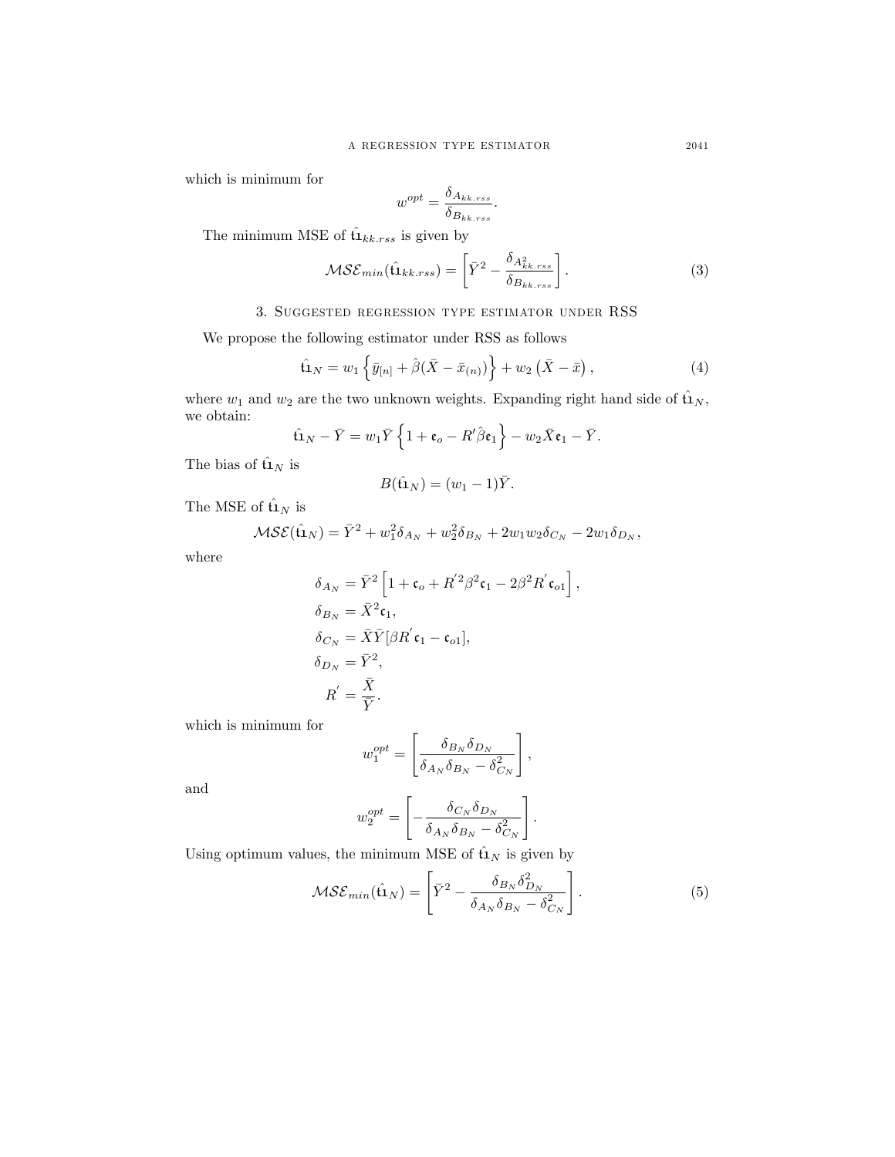which is minimum for

$$
w^{opt} = \frac{\delta_{A_{kk,rss}}}{\delta_{B_{kk,rss}}}.
$$

The minimum MSE of  $\hat{\mathbf{u}}_{kk,rss}$  is given by

$$
\mathcal{MSE}_{min}(\hat{\mathbf{u}}_{kk,rss}) = \left[\bar{Y}^2 - \frac{\delta_{A_{kk,rss}}^2}{\delta_{B_{kk,rss}}}\right].
$$
 (3)

# 3. Suggested regression type estimator under RSS

We propose the following estimator under RSS as follows

$$
\hat{\mathbf{u}}_N = w_1 \left\{ \bar{y}_{[n]} + \hat{\beta} (\bar{X} - \bar{x}_{(n)}) \right\} + w_2 (\bar{X} - \bar{x}), \tag{4}
$$

where  $w_1$  and  $w_2$  are the two unknown weights. Expanding right hand side of  $\hat{u}_N$ , we obtain:

$$
\hat{\mathbf{u}}_N - \bar{Y} = w_1 \bar{Y} \left\{ 1 + \mathbf{e}_o - R'\hat{\beta} \mathbf{e}_1 \right\} - w_2 \bar{X} \mathbf{e}_1 - \bar{Y}.
$$

The bias of  $\hat{\mathbf{u}}_N$  is

$$
B(\hat{\mathbf{u}}_N) = (w_1 - 1)\bar{Y}.
$$

The MSE of  $\hat{\mathbf{u}}_N$  is

$$
MSE(\hat{u}_N) = \bar{Y}^2 + w_1^2 \delta_{A_N} + w_2^2 \delta_{B_N} + 2w_1 w_2 \delta_{C_N} - 2w_1 \delta_{D_N},
$$

where

$$
\delta_{A_N} = \bar{Y}^2 \left[ 1 + \mathfrak{c}_o + R^{'2} \beta^2 \mathfrak{c}_1 - 2\beta^2 R^{'} \mathfrak{c}_{o1} \right],
$$
  
\n
$$
\delta_{B_N} = \bar{X}^2 \mathfrak{c}_1,
$$
  
\n
$$
\delta_{C_N} = \bar{X} \bar{Y} [\beta R^{'} \mathfrak{c}_1 - \mathfrak{c}_{o1}],
$$
  
\n
$$
\delta_{D_N} = \bar{Y}^2,
$$
  
\n
$$
R^{'} = \frac{\bar{X}}{\bar{Y}}.
$$

which is minimum for

$$
w_1^{opt} = \left[\frac{\delta_{B_N}\delta_{D_N}}{\delta_{A_N}\delta_{B_N} - \delta_{C_N}^2}\right],
$$

and

$$
w_2^{opt} = \left[ -\frac{\delta_{C_N} \delta_{D_N}}{\delta_{A_N} \delta_{B_N} - \delta_{C_N}^2} \right].
$$

Using optimum values, the minimum MSE of  $\hat{u}_N$  is given by

$$
\mathcal{MSE}_{min}(\hat{\mathbf{u}}_N) = \left[ \bar{Y}^2 - \frac{\delta_{B_N} \delta_{D_N}^2}{\delta_{A_N} \delta_{B_N} - \delta_{C_N}^2} \right]. \tag{5}
$$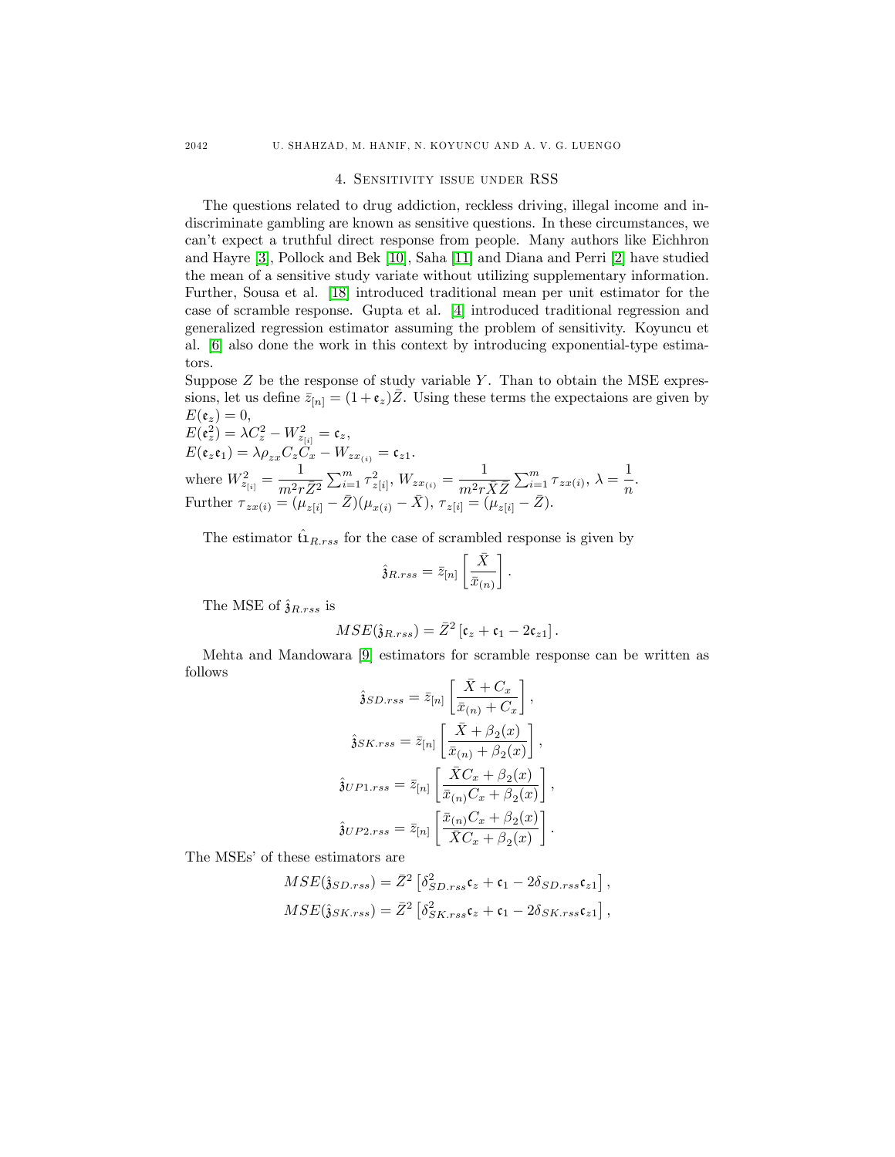#### 4. Sensitivity issue under RSS

The questions related to drug addiction, reckless driving, illegal income and indiscriminate gambling are known as sensitive questions. In these circumstances, we canít expect a truthful direct response from people. Many authors like Eichhron and Hayre [\[3\]](#page-11-11), Pollock and Bek [\[10\]](#page-11-12), Saha [\[11\]](#page-11-13) and Diana and Perri [\[2\]](#page-11-14) have studied the mean of a sensitive study variate without utilizing supplementary information. Further, Sousa et al. [\[18\]](#page-11-15) introduced traditional mean per unit estimator for the case of scramble response. Gupta et al. [\[4\]](#page-11-16) introduced traditional regression and generalized regression estimator assuming the problem of sensitivity. Koyuncu et al. [\[6\]](#page-11-17) also done the work in this context by introducing exponential-type estimators.

Suppose  $Z$  be the response of study variable  $Y$ . Than to obtain the MSE expressions, let us define  $\bar{z}_{[n]} = (1 + \epsilon_z)\bar{Z}$ . Using these terms the expectaions are given by  $E(\mathfrak{e}_z)=0,$ 

 $E(\mathfrak{e}_z^2)=\lambda C_z^2-W_{z_{[i]}}^2=\mathfrak{e}_z,$  $E(\mathfrak{e}_z\mathfrak{e}_1)=\lambda \rho_{zx}C_zC_x-W_{zx_{(i)}}=\mathfrak{e}_{z1}.$ where  $W_{z_{[i]}}^2 = \frac{1}{m^2x}$  $\frac{1}{m^2 r \bar{Z}^2} \sum_{i=1}^m \tau_{z[i]}^2, \, W_{z x_{(i)}} = \frac{1}{m^2 r_1}$  $\frac{1}{m^2 r \bar{X} \bar{Z}} \sum_{i=1}^m \tau_{zx(i)}, \, \lambda = \frac{1}{n}$  $\frac{1}{n}$ . Further  $\tau_{zx(i)} = (\mu_{z[i]} - \bar{Z})(\mu_{x(i)} - \bar{X}), \tau_{z[i]} = (\mu_{z[i]} - \bar{Z}).$ 

The estimator  $\hat{\mathbf{u}}_{R,rss}$  for the case of scrambled response is given by

$$
\hat{\mathfrak{z}}_{R,rss} = \bar{z}_{[n]} \left[ \frac{\bar{X}}{\bar{x}_{(n)}} \right].
$$

The MSE of  $\hat{\mathfrak{z}}_{R,rss}$  is

$$
MSE(\hat{\mathfrak{z}}_{R,rss}) = \bar{Z}^2 [\mathfrak{c}_z + \mathfrak{c}_1 - 2\mathfrak{c}_{z1}].
$$

Mehta and Mandowara [\[9\]](#page-11-9) estimators for scramble response can be written as follows

$$
\hat{\mathbf{j}}SD.rss = \bar{z}_{[n]} \left[ \frac{\bar{X} + C_x}{\bar{x}_{(n)} + C_x} \right],
$$

$$
\hat{\mathbf{j}}SK.rss = \bar{z}_{[n]} \left[ \frac{\bar{X} + \beta_2(x)}{\bar{x}_{(n)} + \beta_2(x)} \right],
$$

$$
\hat{\mathbf{j}}UP1.rss = \bar{z}_{[n]} \left[ \frac{\bar{X}C_x + \beta_2(x)}{\bar{x}_{(n)}C_x + \beta_2(x)} \right],
$$

$$
\hat{\mathbf{j}}UP2.rss = \bar{z}_{[n]} \left[ \frac{\bar{x}_{(n)}C_x + \beta_2(x)}{\bar{X}C_x + \beta_2(x)} \right].
$$

The MSEs' of these estimators are

$$
MSE(\hat{\mathbf{j}}_{SD,rss}) = \bar{Z}^2 \left[ \delta_{SD,rss}^2 \mathfrak{c}_z + \mathfrak{c}_1 - 2\delta_{SD,rss} \mathfrak{c}_{z1} \right],
$$
  

$$
MSE(\hat{\mathbf{j}}_{SK,rss}) = \bar{Z}^2 \left[ \delta_{SK,rss}^2 \mathfrak{c}_z + \mathfrak{c}_1 - 2\delta_{SK,rss} \mathfrak{c}_{z1} \right],
$$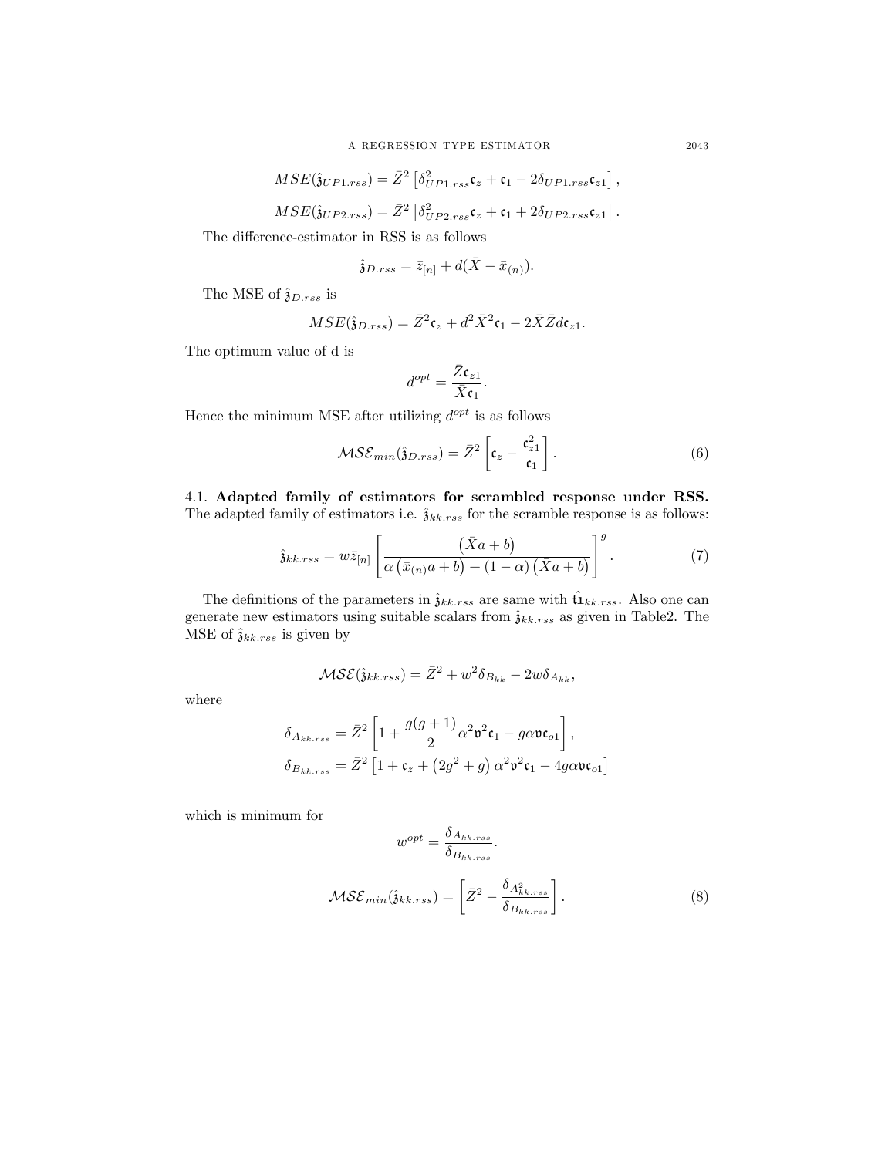$$
MSE(\hat{\mathfrak{z}}_{UP1,rss}) = \bar{Z}^2 \left[ \delta_{UP1,rss}^2 \mathfrak{c}_z + \mathfrak{c}_1 - 2\delta_{UP1,rss} \mathfrak{c}_{z1} \right],
$$
  

$$
MSE(\hat{\mathfrak{z}}_{UP2,rss}) = \bar{Z}^2 \left[ \delta_{UP2,rss}^2 \mathfrak{c}_z + \mathfrak{c}_1 + 2\delta_{UP2,rss} \mathfrak{c}_{z1} \right].
$$

The difference-estimator in RSS is as follows

$$
\hat{\mathfrak{z}}_{D,rss} = \bar{z}_{[n]} + d(\bar{X} - \bar{x}_{(n)}).
$$

The MSE of  $\hat{\mathfrak{z}}_{D,rss}$  is

$$
MSE(\hat{\mathfrak{z}}_{D,rss}) = \bar{Z}^2 \mathfrak{c}_z + d^2 \bar{X}^2 \mathfrak{c}_1 - 2 \bar{X} \bar{Z} d\mathfrak{c}_{z1}.
$$

The optimum value of d is

$$
d^{opt} = \frac{\bar{Z} \mathfrak{c}_{z1}}{\bar{X} \mathfrak{c}_1}.
$$

Hence the minimum MSE after utilizing  $d^{opt}$  is as follows

$$
\mathcal{MSE}_{min}(\hat{\mathbf{j}}_{D,rss}) = \bar{Z}^2 \left[ \mathfrak{c}_z - \frac{\mathfrak{c}_{z1}^2}{\mathfrak{c}_1} \right]. \tag{6}
$$

4.1. Adapted family of estimators for scrambled response under RSS. The adapted family of estimators i.e.  $\hat{\mathfrak{z}}_{kk,rss}$  for the scramble response is as follows:

$$
\hat{\mathfrak{z}}_{kk,rss} = w\bar{z}_{[n]}\left[\frac{(\bar{X}a+b)}{\alpha(\bar{x}_{(n)}a+b)+(1-\alpha)(\bar{X}a+b)}\right]^g.
$$
\n(7)

The definitions of the parameters in  $\hat{\mathfrak{z}}_{kk,rss}$  are same with  $\hat{\mathfrak{u}}_{kk,rss}$ . Also one can generate new estimators using suitable scalars from  $\hat{\mathfrak{z}}_{kk,rss}$  as given in Table2. The MSE of  $\hat{\mathfrak{z}}_{kk,rss}$  is given by

$$
\mathcal{MSE}(\hat{\mathfrak{z}}_{kk,rss}) = \bar{Z}^2 + w^2 \delta_{B_{kk}} - 2w \delta_{A_{kk}},
$$

where

$$
\begin{aligned} \delta_{A_{kk,rss}} &= \bar{Z}^2 \left[ 1 + \frac{g(g+1)}{2} \alpha^2 \mathfrak{v}^2 \mathfrak{c}_1 - g \alpha \mathfrak{v} \mathfrak{c}_{o1} \right], \\ \delta_{B_{kk,rss}} &= \bar{Z}^2 \left[ 1 + \mathfrak{c}_z + \left( 2 g^2 + g \right) \alpha^2 \mathfrak{v}^2 \mathfrak{c}_1 - 4 g \alpha \mathfrak{v} \mathfrak{c}_{o1} \right] \end{aligned}
$$

which is minimum for

$$
w^{opt} = \frac{\delta_{A_{kk,rss}}}{\delta_{B_{kk,rss}}}.
$$
  

$$
MSE_{min}(\hat{\mathfrak{z}}_{kk,rss}) = \left[\bar{Z}^2 - \frac{\delta_{A_{kk,rss}}^2}{\delta_{B_{kk,rss}}}\right].
$$
 (8)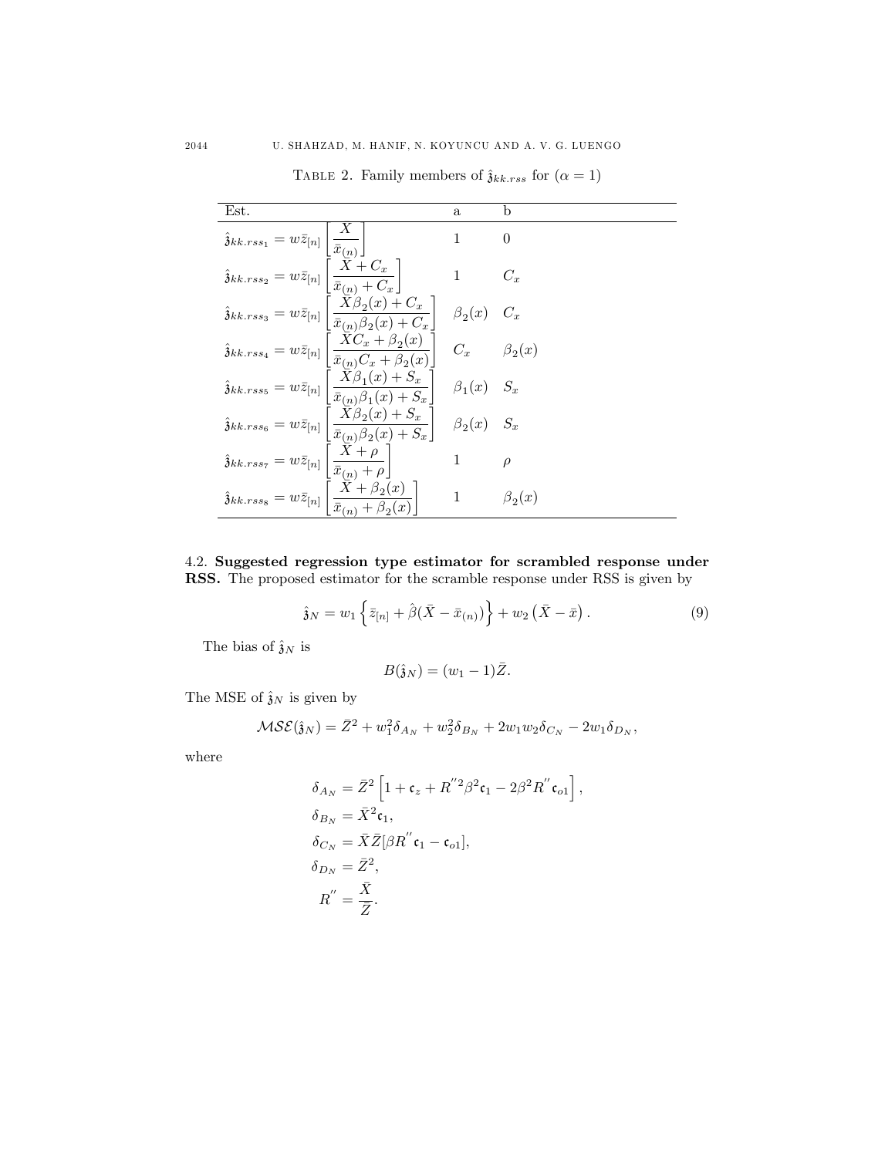TABLE 2. Family members of  $\hat{\mathfrak{z}}_{kk,rss}$  for  $(\alpha = 1)$ 

| Est.                                                                                                                                                                                                                                                                             | $\mathbf{a}$       | b                  |
|----------------------------------------------------------------------------------------------------------------------------------------------------------------------------------------------------------------------------------------------------------------------------------|--------------------|--------------------|
|                                                                                                                                                                                                                                                                                  | 1                  | 0                  |
| $\hat{\mathfrak{z}}_{kk,rss_1}=w\bar{z}_{[n]}\left[\frac{\hat{x}_{(n)}}{\bar{x}_{(n)}}\right]$<br>$\hat{\mathfrak{z}}_{kk,rss_2}=w\bar{z}_{[n]}\left[\frac{X+C_x}{\bar{x}_{(n)}+C_x}\right]$                                                                                     | $\mathbf{1}$       | $C_x$              |
| $\hat{\mathfrak{z}}_{kk,rss_3} = w\bar{z}_{[n]}\left[\frac{\bar{X}\beta_2(x)+C_x}{\bar{x}_{(n)}\beta_2(x)+C_x}\right].$                                                                                                                                                          | $\beta_2(x)$       |                    |
| $\hat{\mathfrak{z}}_{kk,rss_4}=w\bar{z}_{[n]}\left[\frac{XC_x+\beta_2(x)}{\bar{x}_{(n)}C_x+\beta_2(x)}\right]$                                                                                                                                                                   |                    | $C_x$ $\beta_2(x)$ |
| $\hat{\mathfrak{z}}_{kk,rss_5}=w\bar{z}_{[n]}\left[\frac{\bar{X}\beta_1(x)+\overset{\circ}{S_x}}{\bar{\pi}_{\ell}\rightarrow\mathcal{A}^{\ell}\cap\mathbb{R}^{\ell}\rightarrow\mathbb{C}}\right]$<br>$\frac{\overline{x}_{(n)}\beta_1(x)+S_x}{\overline{x}_{(n)}\beta_1(x)+S_x}$ | $\beta_1(x)$ $S_x$ |                    |
| $\hat{\mathfrak{z}}_{kk,rss_6} = w\bar{z}_{[n]}\left[\frac{X\beta_2(x)+S_x}{\bar{x}_{(n)}\beta_2(x)+S_x}\right]$                                                                                                                                                                 | $\beta_2(x)$ $S_x$ |                    |
| $\hat{\mathfrak{z}}_{kk,rss_7}=w\bar{z}_{[n]}\left[\frac{\bar{X}+\rho}{\bar{x}_{(n)}+\rho}\right]$<br>$\hat{\mathfrak{z}}_{kk,rss_8}=w\bar{z}_{[n]}\left[\frac{\bar{X}+\beta_2(\bar{z}_{k})}{\bar{x}_{(n)}+\beta_3(\bar{z}_{k})}\right]$                                         | $\mathbf{1}$       | $\rho$             |
| $\left[ \begin{array}{c} X + \beta_2(x) \end{array} \right]$<br>$\bar{x}_{(n)} + \beta_2$                                                                                                                                                                                        | $\mathbf{1}$       | $\beta_2(x)$       |

4.2. Suggested regression type estimator for scrambled response under RSS. The proposed estimator for the scramble response under RSS is given by

$$
\hat{\mathbf{j}}_{N} = w_{1} \left\{ \bar{z}_{[n]} + \hat{\beta}(\bar{X} - \bar{x}_{(n)}) \right\} + w_{2} (\bar{X} - \bar{x}). \tag{9}
$$

The bias of  $\hat{\mathfrak{z}}_N$  is

$$
B(\hat{\mathfrak{z}}_N)=(w_1-1)\bar{Z}.
$$

The MSE of  $\hat{\mathfrak{z}}_N$  is given by

$$
\mathcal{MSE}(\hat{\mathbf{j}}_N) = \bar{Z}^2 + w_1^2 \delta_{A_N} + w_2^2 \delta_{B_N} + 2w_1 w_2 \delta_{C_N} - 2w_1 \delta_{D_N},
$$

where

$$
\delta_{A_N} = \bar{Z}^2 \left[ 1 + \mathfrak{c}_z + R^{"2} \beta^2 \mathfrak{c}_1 - 2\beta^2 R^{''} \mathfrak{c}_{o1} \right],
$$
  
\n
$$
\delta_{B_N} = \bar{X}^2 \mathfrak{c}_1,
$$
  
\n
$$
\delta_{C_N} = \bar{X} \bar{Z} [\beta R^{''} \mathfrak{c}_1 - \mathfrak{c}_{o1}],
$$
  
\n
$$
\delta_{D_N} = \bar{Z}^2,
$$
  
\n
$$
R^{''} = \frac{\bar{X}}{\bar{Z}}.
$$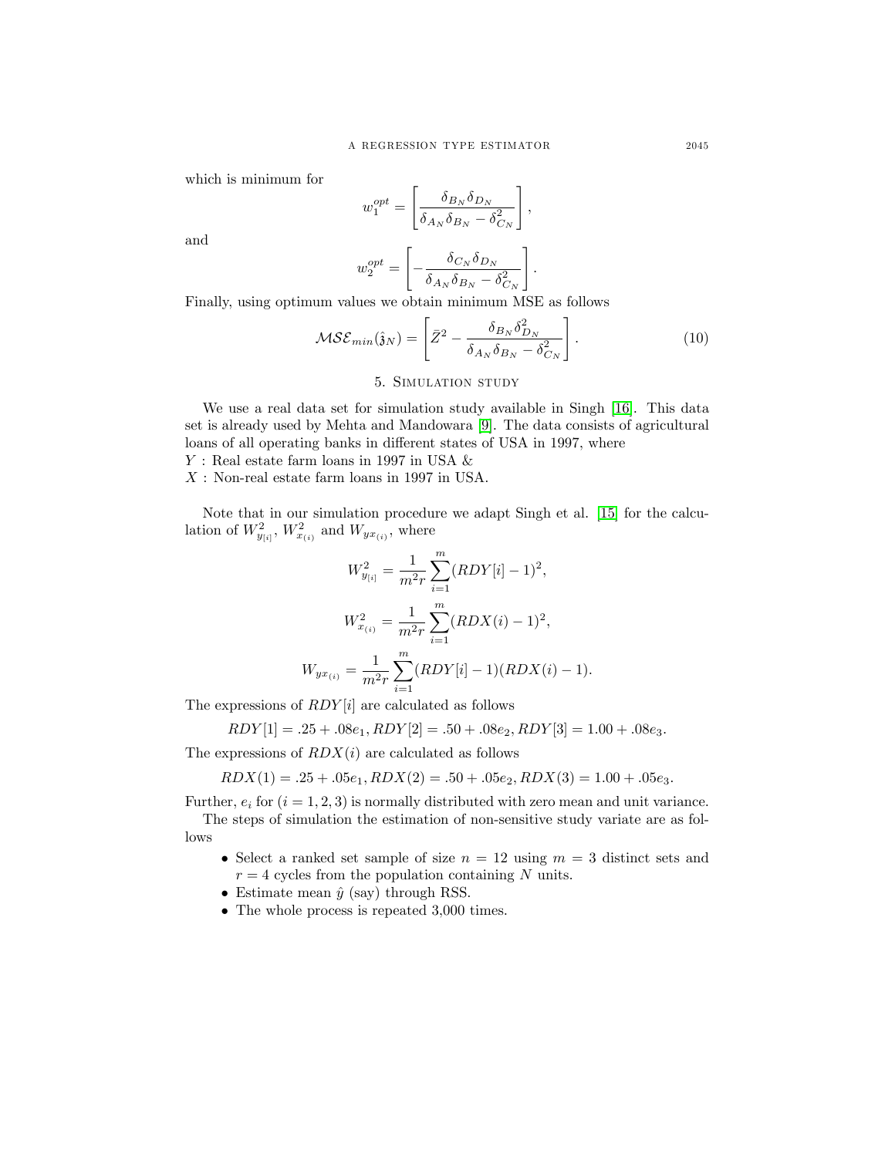which is minimum for

$$
w_1^{opt} = \left[\frac{\delta_{B_N}\delta_{D_N}}{\delta_{A_N}\delta_{B_N} - \delta_{C_N}^2}\right],
$$

and

$$
w_2^{opt} = \left[-\frac{\delta_{C_N} \delta_{D_N}}{\delta_{A_N} \delta_{B_N} - \delta_{C_N}^2}\right].
$$

Finally, using optimum values we obtain minimum MSE as follows

$$
\mathcal{MSE}_{min}(\hat{\mathbf{j}}_N) = \left[ \bar{Z}^2 - \frac{\delta_{B_N} \delta_{D_N}^2}{\delta_{A_N} \delta_{B_N} - \delta_{C_N}^2} \right]. \tag{10}
$$

### 5. Simulation study

We use a real data set for simulation study available in Singh [\[16\]](#page-11-18). This data set is already used by Mehta and Mandowara [\[9\]](#page-11-9). The data consists of agricultural loans of all operating banks in different states of USA in 1997, where

 $Y$ : Real estate farm loans in 1997 in USA  $\&$ 

X : Non-real estate farm loans in 1997 in USA.

Note that in our simulation procedure we adapt Singh et al. [\[15\]](#page-11-10) for the calculation of  $W_{y_{[i]}}^2$ ,  $W_{x_{(i)}}^2$  and  $W_{yx_{(i)}}$ , where

$$
W_{y_{[i]}}^2 = \frac{1}{m^2 r} \sum_{i=1}^m (RDY[i] - 1)^2,
$$
  

$$
W_{x_{(i)}}^2 = \frac{1}{m^2 r} \sum_{i=1}^m (RDX(i) - 1)^2,
$$
  

$$
W_{yx_{(i)}} = \frac{1}{m^2 r} \sum_{i=1}^m (RDY[i] - 1)(RDX(i) - 1).
$$

The expressions of  $RDY[i]$  are calculated as follows

 $RDY[1] = .25 + .08e_1, RDY[2] = .50 + .08e_2, RDY[3] = 1.00 + .08e_3.$ 

The expressions of  $RDX(i)$  are calculated as follows

 $RDX(1) = .25 + .05e_1, RDX(2) = .50 + .05e_2, RDX(3) = 1.00 + .05e_3.$ 

Further,  $e_i$  for  $(i = 1, 2, 3)$  is normally distributed with zero mean and unit variance. The steps of simulation the estimation of non-sensitive study variate are as follows

- Select a ranked set sample of size  $n = 12$  using  $m = 3$  distinct sets and  $r = 4$  cycles from the population containing N units.
- Estimate mean  $\hat{y}$  (say) through RSS.
- The whole process is repeated 3,000 times.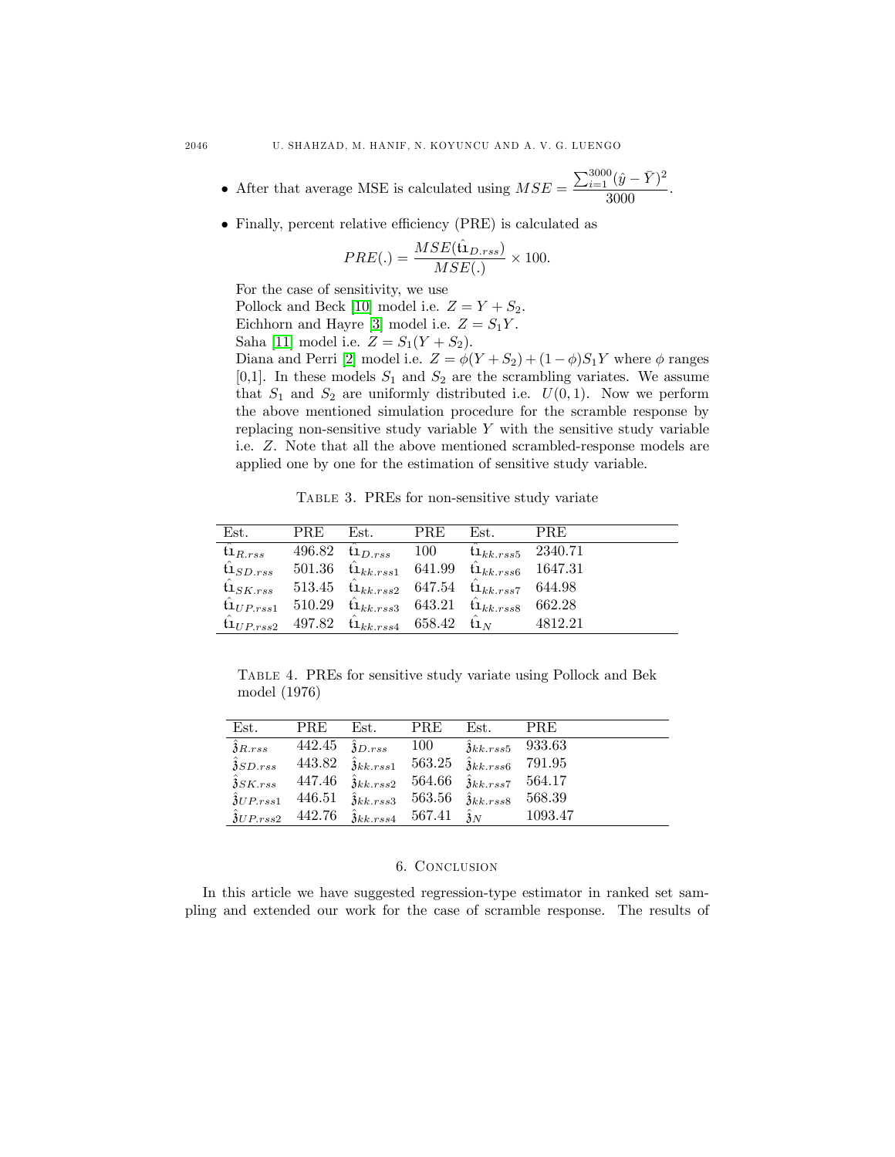- After that average MSE is calculated using  $MSE =$  $\sum_{i=1}^{3000} (\hat{y} - \bar{Y})^2$  $\frac{(9-1)}{3000}$ .
- $\bullet$  Finally, percent relative efficiency (PRE) is calculated as

$$
PRE(.) = \frac{MSE(\hat{\mathbf{u}}_{D,rss})}{MSE(.)} \times 100.
$$

For the case of sensitivity, we use

Pollock and Beck [\[10\]](#page-11-12) model i.e.  $Z = Y + S_2$ .

Eichhorn and Hayre [\[3\]](#page-11-11) model i.e.  $Z = S_1 Y$ .

Saha [\[11\]](#page-11-13) model i.e.  $Z = S_1(Y + S_2)$ .

Diana and Perri [\[2\]](#page-11-14) model i.e.  $Z = \phi(Y + S_2) + (1 - \phi)S_1Y$  where  $\phi$  ranges [0,1]. In these models  $S_1$  and  $S_2$  are the scrambling variates. We assume that  $S_1$  and  $S_2$  are uniformly distributed i.e.  $U(0,1)$ . Now we perform the above mentioned simulation procedure for the scramble response by replacing non-sensitive study variable  $Y$  with the sensitive study variable i.e. Z. Note that all the above mentioned scrambled-response models are applied one by one for the estimation of sensitive study variable.

Table 3. PREs for non-sensitive study variate

| Est.                               | PRE. | Est.                                                                      | <b>PRE</b> | Est.                                                          | <b>PRE</b> |
|------------------------------------|------|---------------------------------------------------------------------------|------------|---------------------------------------------------------------|------------|
| $\hat{\mathfrak{t}}_{R,rss}$       |      | 496.82 $t_{1D,rss}$                                                       | 100        | $t_{1k,k,rss5}$ 2340.71                                       |            |
| $\hat{\mathfrak{t}}_{1SD,rss}$     |      |                                                                           |            | 501.36 $\hat{u}_{kk,rss1}$ 641.99 $\hat{u}_{kk,rss6}$ 1647.31 |            |
| $\mathfrak{t} \mathbf{1}_{SK,rss}$ |      |                                                                           |            | 513.45 $t_{1kk,rss2}$ 647.54 $t_{1kk,rss7}$ 644.98            |            |
|                                    |      | $\hat{u}_{UP,rss1}$ 510.29 $\hat{u}_{kk,rss3}$ 643.21 $\hat{u}_{kk,rss8}$ |            |                                                               | 662.28     |
|                                    |      | $\hat{u}_{UP,rss2}$ 497.82 $\hat{u}_{kk,rss4}$ 658.42 $\hat{u}_{N}$       |            |                                                               | 4812.21    |

Table 4. PREs for sensitive study variate using Pollock and Bek model (1976)

| Est.                                   | <b>PRE</b> | Est.                                   | <b>PRE</b> | Est.                           | <b>PRE</b> |
|----------------------------------------|------------|----------------------------------------|------------|--------------------------------|------------|
| $\hat{\mathfrak{z}}_{R,rss}$           | 442.45     | $\hat{\mathfrak{z}}_{D,rss}$           | 100        | $\hat{3}_{kk,rss5}$ 933.63     |            |
| $\hat{\mathfrak{z}}_{SD,rss}$          | 443.82     | $\hat{3}_{kk,rss1}$ 563.25             |            | $\hat{\mathfrak{z}}_{kk,rss6}$ | 791.95     |
| $\hat{\mathfrak{z}}_{SK,rss}$          | 447.46     | $\hat{3}_{kk,rss2}$ 564.66             |            | $\hat{3}_{kk,rss7}$ 564.17     |            |
| $\overline{\partial U}$ <i>P.rss</i> 1 | 446.51     | $\hat{3}_{kk,rss3}$ 563.56             |            | $\hat{\mathfrak{z}}_{kk,rss8}$ | 568.39     |
| $\hat{\mathfrak{z}}_{UP,rss2}$         | 442.76     | $\hat{3}_{kk,rss4}$ 567.41 $\hat{3}_N$ |            |                                | 1093.47    |

# 6. Conclusion

In this article we have suggested regression-type estimator in ranked set sampling and extended our work for the case of scramble response. The results of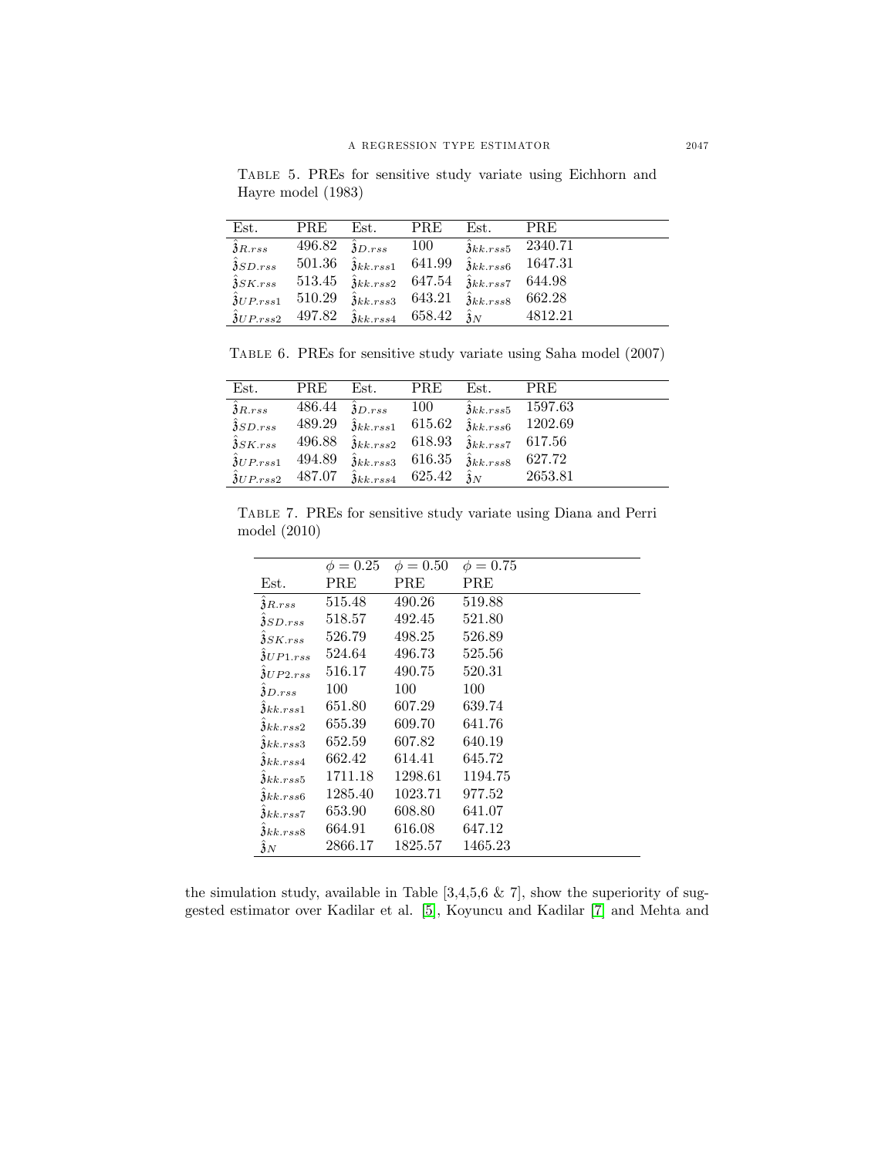Table 5. PREs for sensitive study variate using Eichhorn and Hayre model (1983)

| Est.                          | <b>PRE</b> | Est.                                                                                     | PRE | Est.                                                  | <b>PRE</b>                  |
|-------------------------------|------------|------------------------------------------------------------------------------------------|-----|-------------------------------------------------------|-----------------------------|
| $\hat{\mathfrak{z}}_{R,rss}$  |            | 496.82 $\hat{\mathfrak{z}}_{D,rss}$ 100                                                  |     |                                                       | $\hat{3}_{kk,rss5}$ 2340.71 |
| $\hat{\mathfrak{z}}_{SD,rss}$ |            | 501.36 $\hat{\mathfrak{z}}_{kk,rss1}$ 641.99                                             |     |                                                       | $\hat{3}_{kk,rss6}$ 1647.31 |
| $\hat{\mathfrak{z}}_{SK.rss}$ |            | $513.45 \quad \hat{\mathfrak{z}}_{kk,rss2}$ 647.54 $\hat{\mathfrak{z}}_{kk,rss7}$ 644.98 |     |                                                       |                             |
| $\hat{3}_{UP,rss1}$ 510.29    |            |                                                                                          |     | $\hat{3}_{kk,rss3}$ 643.21 $\hat{3}_{kk,rss8}$ 662.28 |                             |
|                               |            | $\hat{3}_{UP,rss2}$ 497.82 $\hat{3}_{kk,rss4}$ 658.42 $\hat{3}_{N}$                      |     |                                                       | 4812.21                     |

Table 6. PREs for sensitive study variate using Saha model (2007)

| Est.                           | <b>PRE</b> | Est.                                                         | <b>PRE</b> | Est.                           | <b>PRE</b>                     |
|--------------------------------|------------|--------------------------------------------------------------|------------|--------------------------------|--------------------------------|
| $\hat{\mathfrak{z}}_{R,rss}$   | 486.44     | $\hat{\mathfrak{z}}_{D,rss}$                                 | -- 100     |                                | $3k \,$ <i>k.rss</i> 5 1597.63 |
| $\hat{\mathfrak{z}}_{SD,rss}$  | 489.29     | $\hat{3}_{kk,rss1}$ 615.62                                   |            |                                | $\hat{3}_{kk,rss6}$ 1202.69    |
| $\delta$ SK.rss                | 496.88     | $\hat{3}_{kk,rss2}$ 618.93                                   |            | $\hat{3}_{kk,rss7}$ 617.56     |                                |
| $\hat{\mathfrak{z}}_{UP,rss1}$ | 494.89     | $\hat{3}_{kk,rss3}$ 616.35                                   |            | $\hat{\mathfrak{z}}_{kk,rss8}$ | 627.72                         |
| $\hat{\mathfrak{z}}_{UP,rss2}$ | 487.07     | $\hat{\mathfrak{z}}_{kk,rss4}$ 625.42 $\hat{\mathfrak{z}}_N$ |            |                                | 2653.81                        |
|                                |            |                                                              |            |                                |                                |

Table 7. PREs for sensitive study variate using Diana and Perri model (2010)

|                                 | $\phi = 0.25$ | $\phi = 0.50$ | $\phi = 0.75$ |
|---------------------------------|---------------|---------------|---------------|
| Est.                            | <b>PRE</b>    | PRE           | PRE           |
| $\delta$ R. $rss$               | 515.48        | 490.26        | 519.88        |
| 3SD.rss                         | 518.57        | 492.45        | 521.80        |
| $3SK.$ rss                      | 526.79        | 498.25        | 526.89        |
| $\delta UP1. rss$               | 524.64        | 496.73        | 525.56        |
| $\frac{\partial U}{\partial 2}$ | 516.17        | 490.75        | 520.31        |
| $\delta D.rss$                  | 100           | 100           | 100           |
| $\lambda k k.rss1$              | 651.80        | 607.29        | 639.74        |
| $3$ kk. $rss2$                  | 655.39        | 609.70        | 641.76        |
| $\mathfrak{z}_{kk,rss3}$        | 652.59        | 607.82        | 640.19        |
| $\lambda k k.rss4$              | 662.42        | 614.41        | 645.72        |
| 3kk, rss5                       | 1711.18       | 1298.61       | 1194.75       |
| $\mathfrak{z}_{kk,rss6}$        | 1285.40       | 1023.71       | 977.52        |
| $\lambda k k.rss7$              | 653.90        | 608.80        | 641.07        |
| $\mathfrak{z}_{kk,rss8}$        | 664.91        | 616.08        | 647.12        |
| 3N                              | 2866.17       | 1825.57       | 1465.23       |

the simulation study, available in Table  $[3,4,5,6 \& 7]$ , show the superiority of suggested estimator over Kadilar et al. [\[5\]](#page-11-8), Koyuncu and Kadilar [\[7\]](#page-11-1) and Mehta and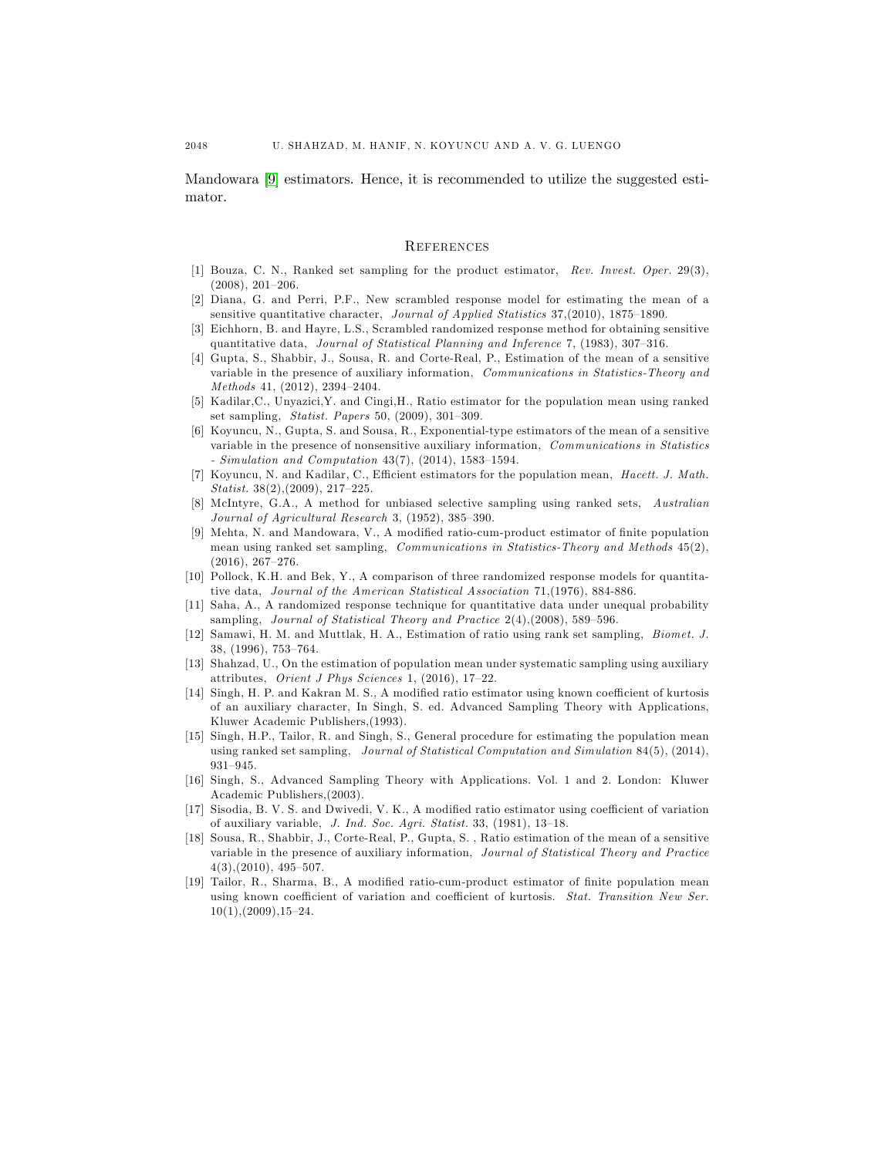Mandowara [\[9\]](#page-11-9) estimators. Hence, it is recommended to utilize the suggested estimator.

#### **REFERENCES**

- <span id="page-11-0"></span>[1] Bouza, C. N., Ranked set sampling for the product estimator, Rev. Invest. Oper. 29(3),  $(2008), 201-206.$
- <span id="page-11-14"></span>[2] Diana, G. and Perri, P.F., New scrambled response model for estimating the mean of a sensitive quantitative character, Journal of Applied Statistics 37,(2010), 1875-1890.
- <span id="page-11-11"></span>[3] Eichhorn, B. and Hayre, L.S., Scrambled randomized response method for obtaining sensitive quantitative data, Journal of Statistical Planning and Inference 7, (1983),  $307-316$ .
- <span id="page-11-16"></span>[4] Gupta, S., Shabbir, J., Sousa, R. and Corte-Real, P., Estimation of the mean of a sensitive variable in the presence of auxiliary information, Communications in Statistics-Theory and  $Methods 41, (2012), 2394-2404.$
- <span id="page-11-8"></span>[5] Kadilar,C., Unyazici,Y. and Cingi,H., Ratio estimator for the population mean using ranked set sampling, Statist. Papers 50,  $(2009)$ , 301-309.
- <span id="page-11-17"></span>[6] Koyuncu, N., Gupta, S. and Sousa, R., Exponential-type estimators of the mean of a sensitive variable in the presence of nonsensitive auxiliary information, Communications in Statistics  $-$  Simulation and Computation 43(7), (2014), 1583-1594.
- <span id="page-11-1"></span>[7] Koyuncu, N. and Kadilar, C., Efficient estimators for the population mean, Hacett. J. Math. Statist.  $38(2)$ ,  $(2009)$ ,  $217-225$ .
- <span id="page-11-6"></span>[8] McIntyre, G.A., A method for unbiased selective sampling using ranked sets, Australian Journal of Agricultural Research 3,  $(1952)$ ,  $385-390$ .
- <span id="page-11-9"></span>[9] Mehta, N. and Mandowara, V., A modified ratio-cum-product estimator of finite population mean using ranked set sampling, *Communications in Statistics-Theory and Methods* 45(2),  $(2016), 267-276.$
- <span id="page-11-12"></span>[10] Pollock, K.H. and Bek, Y., A comparison of three randomized response models for quantitative data, Journal of the American Statistical Association 71,(1976), 884-886.
- <span id="page-11-13"></span>[11] Saha, A., A randomized response technique for quantitative data under unequal probability sampling, Journal of Statistical Theory and Practice  $2(4)$ ,  $(2008)$ , 589-596.
- <span id="page-11-7"></span>[12] Samawi, H. M. and Muttlak, H. A., Estimation of ratio using rank set sampling, Biomet. J. 38, (1996), 753-764.
- <span id="page-11-5"></span>[13] Shahzad, U., On the estimation of population mean under systematic sampling using auxiliary attributes, Orient J Phys Sciences 1,  $(2016)$ , 17-22.
- <span id="page-11-3"></span>[14] Singh, H. P. and Kakran M. S., A modified ratio estimator using known coefficient of kurtosis of an auxiliary character, In Singh, S. ed. Advanced Sampling Theory with Applications, Kluwer Academic Publishers,(1993).
- <span id="page-11-10"></span>[15] Singh, H.P., Tailor, R. and Singh, S., General procedure for estimating the population mean using ranked set sampling, Journal of Statistical Computation and Simulation 84(5), (2014),  $931 - 945.$
- <span id="page-11-18"></span>[16] Singh, S., Advanced Sampling Theory with Applications. Vol. 1 and 2. London: Kluwer Academic Publishers,(2003).
- <span id="page-11-2"></span>[17] Sisodia, B. V. S. and Dwivedi, V. K., A modified ratio estimator using coefficient of variation of auxiliary variable,  $J. Ind. Soc. Agri. Statist. 33, (1981), 13–18.$
- <span id="page-11-15"></span>[18] Sousa, R., Shabbir, J., Corte-Real, P., Gupta, S. , Ratio estimation of the mean of a sensitive variable in the presence of auxiliary information, Journal of Statistical Theory and Practice  $4(3)$ ,  $(2010)$ ,  $495-507$ .
- <span id="page-11-4"></span>[19] Tailor, R., Sharma, B., A modified ratio-cum-product estimator of finite population mean using known coefficient of variation and coefficient of kurtosis. Stat. Transition New Ser.  $10(1)$ ,  $(2009)$ ,  $15-24$ .